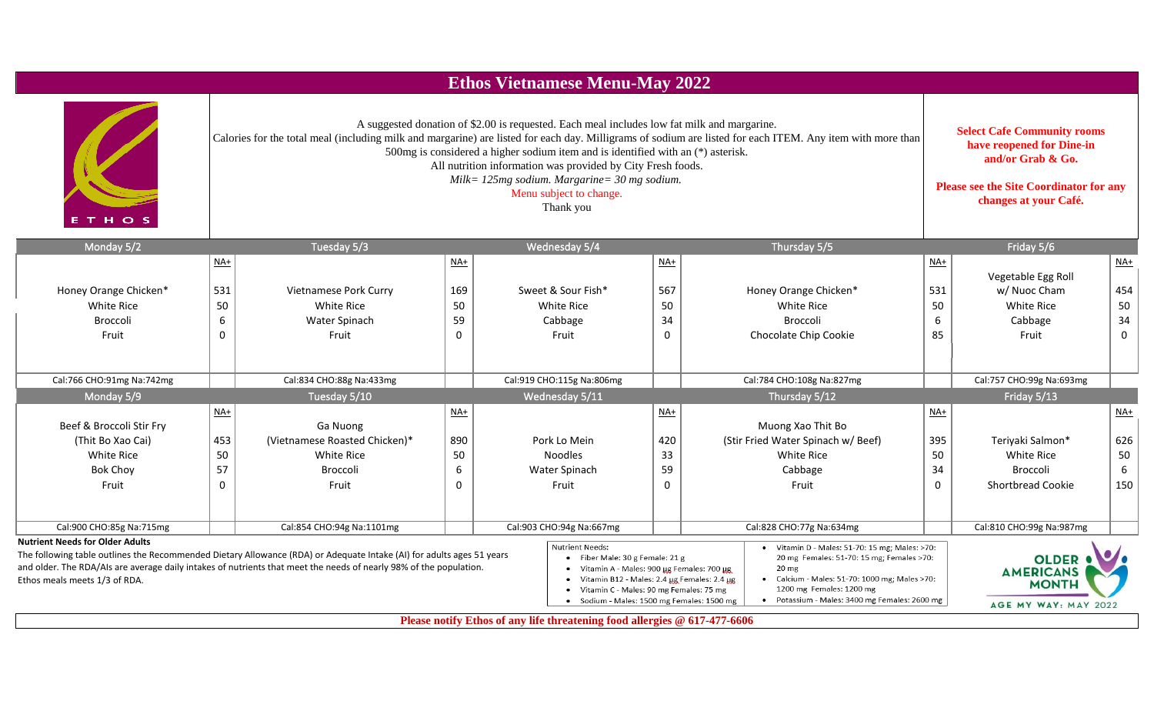|                                                                         |              |                                                                                                                                                                                                                                                                                                                                                                                                              |                          | <b>Ethos Vietnamese Menu-May 2022</b>                                                                                                                                                                                                            |          |                                                                                                                                                                                                                                             |                   |                                                                          |             |
|-------------------------------------------------------------------------|--------------|--------------------------------------------------------------------------------------------------------------------------------------------------------------------------------------------------------------------------------------------------------------------------------------------------------------------------------------------------------------------------------------------------------------|--------------------------|--------------------------------------------------------------------------------------------------------------------------------------------------------------------------------------------------------------------------------------------------|----------|---------------------------------------------------------------------------------------------------------------------------------------------------------------------------------------------------------------------------------------------|-------------------|--------------------------------------------------------------------------|-------------|
| HO <sub>S</sub>                                                         |              | A suggested donation of \$2.00 is requested. Each meal includes low fat milk and margarine.<br>Calories for the total meal (including milk and margarine) are listed for each day. Milligrams of sodium are listed for each ITEM. Any item with more than<br>500mg is considered a higher sodium item and is identified with an (*) asterisk.<br>All nutrition information was provided by City Fresh foods. |                          | <b>Select Cafe Community rooms</b><br>have reopened for Dine-in<br>and/or Grab & Go.<br><b>Please see the Site Coordinator for any</b><br>changes at your Café.                                                                                  |          |                                                                                                                                                                                                                                             |                   |                                                                          |             |
| Monday 5/2                                                              |              | Tuesday 5/3                                                                                                                                                                                                                                                                                                                                                                                                  |                          | Wednesday 5/4                                                                                                                                                                                                                                    |          | Thursday 5/5                                                                                                                                                                                                                                |                   | Friday 5/6                                                               |             |
|                                                                         | $NA+$        |                                                                                                                                                                                                                                                                                                                                                                                                              | $\underline{\text{NA+}}$ |                                                                                                                                                                                                                                                  | $NA+$    |                                                                                                                                                                                                                                             | $\underline{NA+}$ | Vegetable Egg Roll                                                       | $NA+$       |
| Honey Orange Chicken*                                                   | 531          | Vietnamese Pork Curry                                                                                                                                                                                                                                                                                                                                                                                        | 169                      | Sweet & Sour Fish*                                                                                                                                                                                                                               | 567      | Honey Orange Chicken*                                                                                                                                                                                                                       | 531               | w/ Nuoc Cham                                                             | 454         |
| White Rice                                                              | 50           | <b>White Rice</b>                                                                                                                                                                                                                                                                                                                                                                                            | 50                       | <b>White Rice</b>                                                                                                                                                                                                                                | 50       | White Rice                                                                                                                                                                                                                                  | 50                | White Rice                                                               | 50          |
| <b>Broccoli</b>                                                         | 6            | Water Spinach                                                                                                                                                                                                                                                                                                                                                                                                | 59                       | Cabbage                                                                                                                                                                                                                                          | 34       | Broccoli                                                                                                                                                                                                                                    | 6                 | Cabbage                                                                  | 34          |
| Fruit                                                                   | $\Omega$     | Fruit                                                                                                                                                                                                                                                                                                                                                                                                        | $\Omega$                 | Fruit                                                                                                                                                                                                                                            | $\Omega$ | Chocolate Chip Cookie                                                                                                                                                                                                                       | 85                | Fruit                                                                    | $\mathbf 0$ |
| Cal:766 CHO:91mg Na:742mg                                               |              | Cal:834 CHO:88g Na:433mg                                                                                                                                                                                                                                                                                                                                                                                     |                          | Cal:919 CHO:115g Na:806mg                                                                                                                                                                                                                        |          | Cal:784 CHO:108g Na:827mg                                                                                                                                                                                                                   |                   | Cal:757 CHO:99g Na:693mg                                                 |             |
| Monday 5/9                                                              |              | Tuesday 5/10                                                                                                                                                                                                                                                                                                                                                                                                 |                          | Wednesday 5/11                                                                                                                                                                                                                                   |          | Thursday 5/12                                                                                                                                                                                                                               |                   | Friday 5/13                                                              |             |
| Beef & Broccoli Stir Fry                                                | $NA+$        | Ga Nuong                                                                                                                                                                                                                                                                                                                                                                                                     | $\underline{NA+}$        |                                                                                                                                                                                                                                                  | $NA+$    | Muong Xao Thit Bo                                                                                                                                                                                                                           | $NA+$             |                                                                          | NAt         |
| (Thit Bo Xao Cai)                                                       | 453          | (Vietnamese Roasted Chicken)*                                                                                                                                                                                                                                                                                                                                                                                | 890                      | Pork Lo Mein                                                                                                                                                                                                                                     | 420      | (Stir Fried Water Spinach w/ Beef)                                                                                                                                                                                                          | 395               | Teriyaki Salmon*                                                         | 626         |
| White Rice                                                              | 50           | White Rice                                                                                                                                                                                                                                                                                                                                                                                                   | 50                       | <b>Noodles</b>                                                                                                                                                                                                                                   | 33       | White Rice                                                                                                                                                                                                                                  | 50                | White Rice                                                               | 50          |
| <b>Bok Choy</b>                                                         | 57           | Broccoli                                                                                                                                                                                                                                                                                                                                                                                                     | 6                        | Water Spinach                                                                                                                                                                                                                                    | 59       | Cabbage                                                                                                                                                                                                                                     | 34                | Broccoli                                                                 | 6           |
| Fruit                                                                   | $\mathbf{0}$ | Fruit                                                                                                                                                                                                                                                                                                                                                                                                        | $\mathbf{0}$             | Fruit                                                                                                                                                                                                                                            | $\Omega$ | Fruit                                                                                                                                                                                                                                       | $\mathbf{0}$      | <b>Shortbread Cookie</b>                                                 | 150         |
| Cal:900 CHO:85g Na:715mg                                                |              | Cal:854 CHO:94g Na:1101mg                                                                                                                                                                                                                                                                                                                                                                                    |                          | Cal:903 CHO:94g Na:667mg                                                                                                                                                                                                                         |          | Cal:828 CHO:77g Na:634mg                                                                                                                                                                                                                    |                   | Cal:810 CHO:99g Na:987mg                                                 |             |
| <b>Nutrient Needs for Older Adults</b><br>Ethos meals meets 1/3 of RDA. |              | The following table outlines the Recommended Dietary Allowance (RDA) or Adequate Intake (AI) for adults ages 51 years<br>and older. The RDA/AIs are average daily intakes of nutrients that meet the needs of nearly 98% of the population.                                                                                                                                                                  |                          | <b>Nutrient Needs:</b><br>• Fiber Male: 30 g Female: 21 g<br>Vitamin A - Males: 900 µg Females: 700 µg<br>• Vitamin B12 - Males: 2.4 µg Females: 2.4 µg<br>Vitamin C - Males: 90 mg Females: 75 mg<br>• Sodium - Males: 1500 mg Females: 1500 mg |          | • Vitamin D - Males: 51-70: 15 mg; Males: >70:<br>20 mg Females: 51-70: 15 mg; Females >70:<br>20 <sub>mg</sub><br>Calcium - Males: 51-70: 1000 mg; Males >70:<br>1200 mg Females: 1200 mg<br>• Potassium - Males: 3400 mg Females: 2600 mg |                   | <b>OLDER</b><br><b>AMERICANS</b><br><b>MONTH</b><br>AGE MY WAY: MAY 2022 |             |

**Please notify Ethos of any life threatening food allergies @ 617-477-6606**